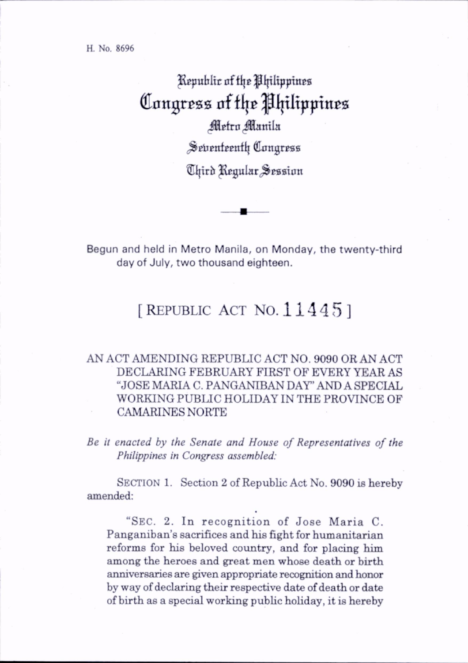H. No. 8696

## Republic of the Philippines Congress of the Philippines Metro Manila ^Selienteentl} (dangrpsa Third Regular Session

Begun and held in Metro Manila, on Monday, the twenty-third day of July, two thousand eighteen.

## [REPUBLIC ACT NO.  $11445$ ]

## AN ACT AMENDING REPUBLIC ACT NO. 9090 OR AN ACT DECLARING FEBRUARY FIRST OF EVERY YEAR AS "JOSE MARIA C. PANGANIBAN DAY' AND A SPECIAL WORKING PUBLIC HOLIDAY IN THE PROVINCE OF CAMARINES NORTE

Be it enacted by the Senate and House of Representatives of the Philippines in Congress assembled:

SECTION 1. Section 2 of Republic Act No. 9090 is hereby amended:

"SEC. 2. In recognition of Jose Maria C. Panganiban's sacrifices and his fight for humanitarian reforms for his beloved country, and for placing him among the heroes and great men whose death or birth anniversaries are given appropriate recognition and honor by way of declaring their respective date of death or date of birth as a special working pubhc hohday, it is hereby